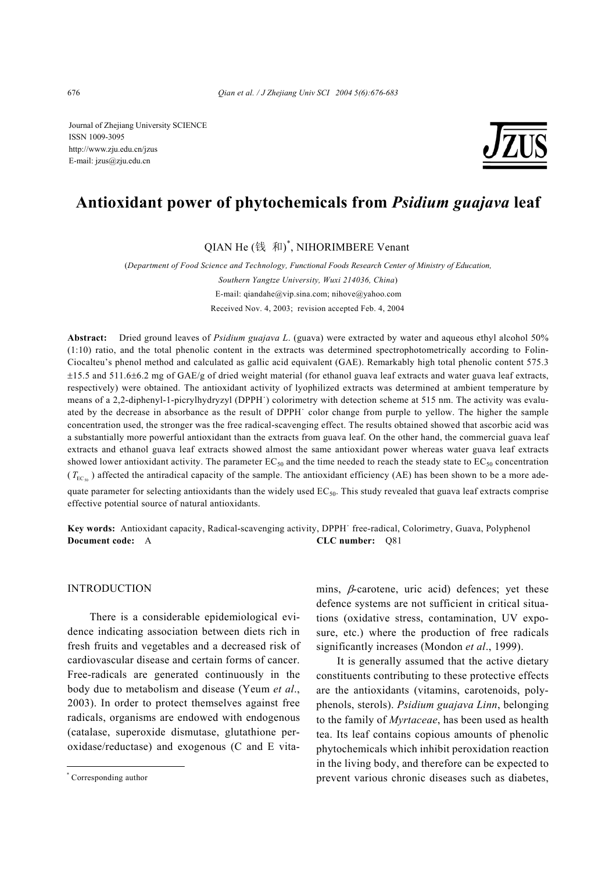Journal of Zhejiang University SCIENCE ISSN 1009-3095 http://www.zju.edu.cn/jzus E-mail: jzus@zju.edu.cn



# **Antioxidant power of phytochemicals from** *Psidium guajava* **leaf**

QIAN He (钱 和) \* , NIHORIMBERE Venant

(*Department of Food Science and Technology, Functional Foods Research Center of Ministry of Education, Southern Yangtze University, Wuxi 214036, China*) E-mail: qiandahe@vip.sina.com; nihove@yahoo.com Received Nov. 4, 2003; revision accepted Feb. 4, 2004

**Abstract:** Dried ground leaves of *Psidium guajava L*. (guava) were extracted by water and aqueous ethyl alcohol 50% (1:10) ratio, and the total phenolic content in the extracts was determined spectrophotometrically according to Folin-Ciocalteu's phenol method and calculated as gallic acid equivalent (GAE). Remarkably high total phenolic content 575.3 ±15.5 and 511.6±6.2 mg of GAE/g of dried weight material (for ethanol guava leaf extracts and water guava leaf extracts, respectively) were obtained. The antioxidant activity of lyophilized extracts was determined at ambient temperature by means of a 2,2-diphenyl-1-picrylhydryzyl (DPPH˙) colorimetry with detection scheme at 515 nm. The activity was evaluated by the decrease in absorbance as the result of DPPH˙ color change from purple to yellow. The higher the sample concentration used, the stronger was the free radical-scavenging effect. The results obtained showed that ascorbic acid was a substantially more powerful antioxidant than the extracts from guava leaf. On the other hand, the commercial guava leaf extracts and ethanol guava leaf extracts showed almost the same antioxidant power whereas water guava leaf extracts showed lower antioxidant activity. The parameter  $EC_{50}$  and the time needed to reach the steady state to  $EC_{50}$  concentration  $(T_{\text{EC}_{\text{ex}}})$  affected the antiradical capacity of the sample. The antioxidant efficiency (AE) has been shown to be a more adequate parameter for selecting antioxidants than the widely used  $EC_{50}$ . This study revealed that guava leaf extracts comprise effective potential source of natural antioxidants.

**Key words:** Antioxidant capacity, Radical-scavenging activity, DPPH˙ free-radical, Colorimetry, Guava, Polyphenol **Document code:** A **CLC number:** Q81

# INTRODUCTION

There is a considerable epidemiological evidence indicating association between diets rich in fresh fruits and vegetables and a decreased risk of cardiovascular disease and certain forms of cancer. Free-radicals are generated continuously in the body due to metabolism and disease (Yeum *et al*., 2003). In order to protect themselves against free radicals, organisms are endowed with endogenous (catalase, superoxide dismutase, glutathione peroxidase/reductase) and exogenous (C and E vitamins,  $\beta$ -carotene, uric acid) defences; yet these defence systems are not sufficient in critical situations (oxidative stress, contamination, UV exposure, etc.) where the production of free radicals significantly increases (Mondon *et al*., 1999).

It is generally assumed that the active dietary constituents contributing to these protective effects are the antioxidants (vitamins, carotenoids, polyphenols, sterols). *Psidium guajava Linn*, belonging to the family of *Myrtaceae*, has been used as health tea. Its leaf contains copious amounts of phenolic phytochemicals which inhibit peroxidation reaction in the living body, and therefore can be expected to prevent various chronic diseases such as diabetes,

<sup>\*</sup> Corresponding author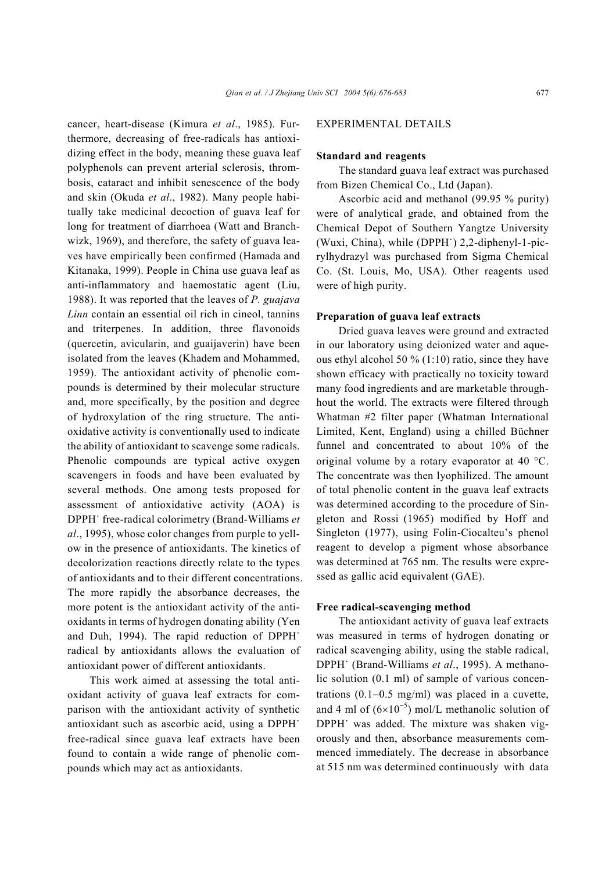cancer, heart-disease (Kimura *et al*., 1985). Furthermore, decreasing of free-radicals has antioxidizing effect in the body, meaning these guava leaf polyphenols can prevent arterial sclerosis, thrombosis, cataract and inhibit senescence of the body and skin (Okuda *et al*., 1982). Many people habitually take medicinal decoction of guava leaf for long for treatment of diarrhoea (Watt and Branchwizk, 1969), and therefore, the safety of guava leaves have empirically been confirmed (Hamada and Kitanaka, 1999). People in China use guava leaf as anti-inflammatory and haemostatic agent (Liu, 1988). It was reported that the leaves of *P. guajava Linn* contain an essential oil rich in cineol, tannins and triterpenes. In addition, three flavonoids (quercetin, avicularin, and guaijaverin) have been isolated from the leaves (Khadem and Mohammed, 1959). The antioxidant activity of phenolic compounds is determined by their molecular structure and, more specifically, by the position and degree of hydroxylation of the ring structure. The antioxidative activity is conventionally used to indicate the ability of antioxidant to scavenge some radicals. Phenolic compounds are typical active oxygen scavengers in foods and have been evaluated by several methods. One among tests proposed for assessment of antioxidative activity (AOA) is DPPH˙ free-radical colorimetry (Brand-Williams *et al*., 1995), whose color changes from purple to yellow in the presence of antioxidants. The kinetics of decolorization reactions directly relate to the types of antioxidants and to their different concentrations. The more rapidly the absorbance decreases, the more potent is the antioxidant activity of the antioxidants in terms of hydrogen donating ability (Yen and Duh, 1994). The rapid reduction of DPPH˙ radical by antioxidants allows the evaluation of antioxidant power of different antioxidants.

This work aimed at assessing the total antioxidant activity of guava leaf extracts for comparison with the antioxidant activity of synthetic antioxidant such as ascorbic acid, using a DPPH˙ free-radical since guava leaf extracts have been found to contain a wide range of phenolic compounds which may act as antioxidants.

# EXPERIMENTAL DETAILS

## **Standard and reagents**

The standard guava leaf extract was purchased from Bizen Chemical Co., Ltd (Japan).

Ascorbic acid and methanol (99.95 % purity) were of analytical grade, and obtained from the Chemical Depot of Southern Yangtze University (Wuxi, China), while (DPPH˙) 2,2-diphenyl-1-picrylhydrazyl was purchased from Sigma Chemical Co. (St. Louis, Mo, USA). Other reagents used were of high purity.

## **Preparation of guava leaf extracts**

Dried guava leaves were ground and extracted in our laboratory using deionized water and aqueous ethyl alcohol 50  $\%$  (1:10) ratio, since they have shown efficacy with practically no toxicity toward many food ingredients and are marketable throughhout the world. The extracts were filtered through Whatman #2 filter paper (Whatman International Limited, Kent, England) using a chilled Büchner funnel and concentrated to about 10% of the original volume by a rotary evaporator at 40 °C. The concentrate was then lyophilized. The amount of total phenolic content in the guava leaf extracts was determined according to the procedure of Singleton and Rossi (1965) modified by Hoff and Singleton (1977), using Folin-Ciocalteu's phenol reagent to develop a pigment whose absorbance was determined at 765 nm. The results were expressed as gallic acid equivalent (GAE).

# **Free radical-scavenging method**

The antioxidant activity of guava leaf extracts was measured in terms of hydrogen donating or radical scavenging ability, using the stable radical, DPPH˙ (Brand-Williams *et al*., 1995). A methanolic solution (0.1 ml) of sample of various concentrations (0.1−0.5 mg/ml) was placed in a cuvette, and 4 ml of  $(6\times10^{-5})$  mol/L methanolic solution of DPPH˙ was added. The mixture was shaken vigorously and then, absorbance measurements commenced immediately. The decrease in absorbance at 515 nm was determined continuously with data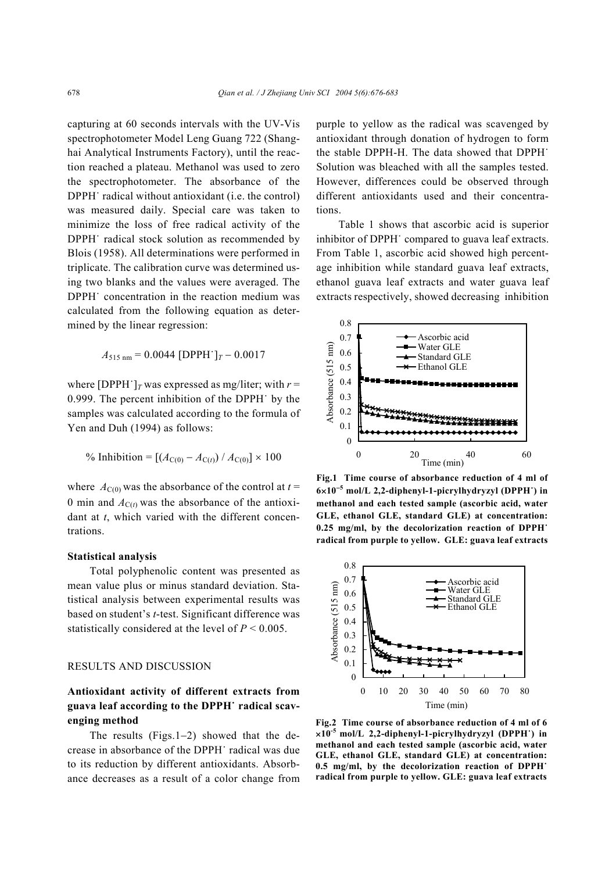capturing at 60 seconds intervals with the UV-Vis spectrophotometer Model Leng Guang 722 (Shanghai Analytical Instruments Factory), until the reaction reached a plateau. Methanol was used to zero the spectrophotometer. The absorbance of the DPPH˙ radical without antioxidant (i.e. the control) was measured daily. Special care was taken to minimize the loss of free radical activity of the DPPH˙ radical stock solution as recommended by Blois (1958). All determinations were performed in triplicate. The calibration curve was determined using two blanks and the values were averaged. The DPPH˙ concentration in the reaction medium was calculated from the following equation as determined by the linear regression:

$$
A_{515 \text{ nm}} = 0.0044 \text{ [DPPH]}_T - 0.0017
$$

where [DPPH<sup> $\cdot$ </sup>]<sub>*T*</sub> was expressed as mg/liter; with *r* = 0.999. The percent inhibition of the DPPH˙ by the samples was calculated according to the formula of Yen and Duh (1994) as follows:

% Inhibition = 
$$
[(A_{C(0)} - A_{C(t)}) / A_{C(0)}] \times 100
$$

where  $A_{C(0)}$  was the absorbance of the control at  $t =$ 0 min and  $A_{C(t)}$  was the absorbance of the antioxidant at *t*, which varied with the different concentrations.

#### **Statistical analysis**

Total polyphenolic content was presented as mean value plus or minus standard deviation. Statistical analysis between experimental results was based on student's *t*-test. Significant difference was statistically considered at the level of  $P \le 0.005$ .

## RESULTS AND DISCUSSION

# **Antioxidant activity of different extracts from guava leaf according to the DPPH˙ radical scavenging method**

The results (Figs.1−2) showed that the decrease in absorbance of the DPPH˙ radical was due to its reduction by different antioxidants. Absorbance decreases as a result of a color change from purple to yellow as the radical was scavenged by antioxidant through donation of hydrogen to form the stable DPPH-H. The data showed that DPPH˙ Solution was bleached with all the samples tested. However, differences could be observed through different antioxidants used and their concentrations.

Table 1 shows that ascorbic acid is superior inhibitor of DPPH˙ compared to guava leaf extracts. From Table 1, ascorbic acid showed high percentage inhibition while standard guava leaf extracts, ethanol guava leaf extracts and water guava leaf extracts respectively, showed decreasing inhibition



**Fig.1 Time course of absorbance reduction of 4 ml of 6**×**10**<sup>−</sup>**<sup>5</sup> mol/L 2,2-diphenyl-1-picrylhydryzyl (DPPH˙) in methanol and each tested sample (ascorbic acid, water GLE, ethanol GLE, standard GLE) at concentration: 0.25 mg/ml, by the decolorization reaction of DPPH˙ radical from purple to yellow. GLE: guava leaf extracts**



**Fig.2 Time course of absorbance reduction of 4 ml of 6** ×**10-5 mol/L 2,2-diphenyl-1-picrylhydryzyl (DPPH˙) in methanol and each tested sample (ascorbic acid, water GLE, ethanol GLE, standard GLE) at concentration: 0.5 mg/ml, by the decolorization reaction of DPPH˙ radical from purple to yellow. GLE: guava leaf extracts**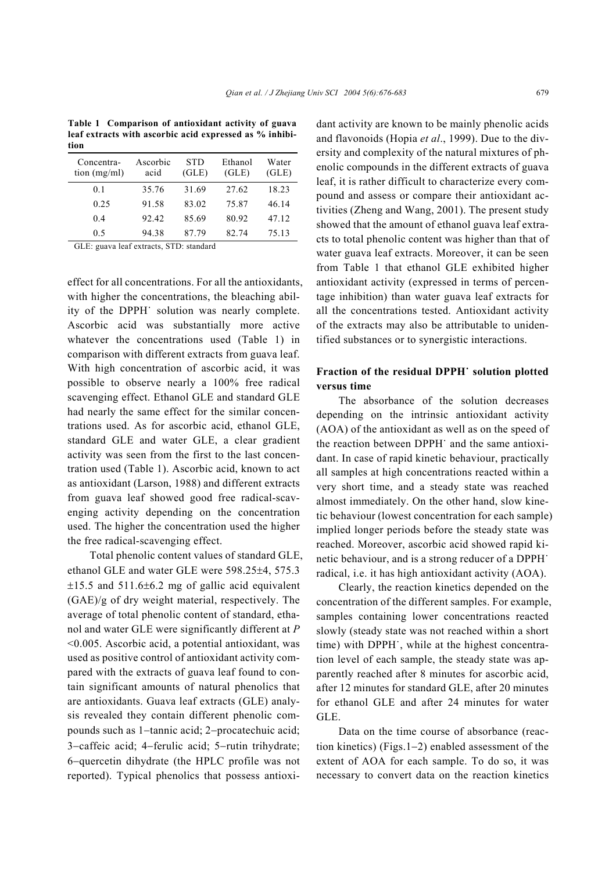**Table 1 Comparison of antioxidant activity of guava leaf extracts with ascorbic acid expressed as % inhibition** 

| Concentra-<br>tion $(mg/ml)$ | Ascorbic<br>acid | <b>STD</b><br>(GLE) | Ethanol<br>(GLE) | Water<br>(GLE) |
|------------------------------|------------------|---------------------|------------------|----------------|
| 0 <sub>1</sub>               | 35.76            | 31.69               | 27.62            | 18.23          |
| 0.25                         | 91.58            | 83.02               | 75.87            | 46.14          |
| 04                           | 92.42            | 85.69               | 80.92            | 47.12          |
| 0.5                          | 94.38            | 87.79               | 82.74            | 75.13          |

GLE: guava leaf extracts, STD: standard

effect for all concentrations. For all the antioxidants, with higher the concentrations, the bleaching ability of the DPPH˙ solution was nearly complete. Ascorbic acid was substantially more active whatever the concentrations used (Table 1) in comparison with different extracts from guava leaf. With high concentration of ascorbic acid, it was possible to observe nearly a 100% free radical scavenging effect. Ethanol GLE and standard GLE had nearly the same effect for the similar concentrations used. As for ascorbic acid, ethanol GLE, standard GLE and water GLE, a clear gradient activity was seen from the first to the last concentration used (Table 1). Ascorbic acid, known to act as antioxidant (Larson, 1988) and different extracts from guava leaf showed good free radical-scavenging activity depending on the concentration used. The higher the concentration used the higher the free radical-scavenging effect.

Total phenolic content values of standard GLE, ethanol GLE and water GLE were 598.25±4, 575.3  $\pm 15.5$  and  $511.6\pm 6.2$  mg of gallic acid equivalent (GAE)/g of dry weight material, respectively. The average of total phenolic content of standard, ethanol and water GLE were significantly different at *P* <0.005. Ascorbic acid, a potential antioxidant, was used as positive control of antioxidant activity compared with the extracts of guava leaf found to contain significant amounts of natural phenolics that are antioxidants. Guava leaf extracts (GLE) analysis revealed they contain different phenolic compounds such as 1−tannic acid; 2−procatechuic acid; 3−caffeic acid; 4−ferulic acid; 5−rutin trihydrate; 6−quercetin dihydrate (the HPLC profile was not reported). Typical phenolics that possess antioxidant activity are known to be mainly phenolic acids and flavonoids (Hopia *et al*., 1999). Due to the diversity and complexity of the natural mixtures of phenolic compounds in the different extracts of guava leaf, it is rather difficult to characterize every compound and assess or compare their antioxidant activities (Zheng and Wang, 2001). The present study showed that the amount of ethanol guava leaf extracts to total phenolic content was higher than that of water guava leaf extracts. Moreover, it can be seen from Table 1 that ethanol GLE exhibited higher antioxidant activity (expressed in terms of percentage inhibition) than water guava leaf extracts for all the concentrations tested. Antioxidant activity of the extracts may also be attributable to unidentified substances or to synergistic interactions.

# **Fraction of the residual DPPH˙ solution plotted versus time**

The absorbance of the solution decreases depending on the intrinsic antioxidant activity (AOA) of the antioxidant as well as on the speed of the reaction between DPPH˙ and the same antioxidant. In case of rapid kinetic behaviour, practically all samples at high concentrations reacted within a very short time, and a steady state was reached almost immediately. On the other hand, slow kinetic behaviour (lowest concentration for each sample) implied longer periods before the steady state was reached. Moreover, ascorbic acid showed rapid kinetic behaviour, and is a strong reducer of a DPPH˙ radical, i.e. it has high antioxidant activity (AOA).

Clearly, the reaction kinetics depended on the concentration of the different samples. For example, samples containing lower concentrations reacted slowly (steady state was not reached within a short time) with DPPH˙, while at the highest concentration level of each sample, the steady state was apparently reached after 8 minutes for ascorbic acid, after 12 minutes for standard GLE, after 20 minutes for ethanol GLE and after 24 minutes for water GLE.

Data on the time course of absorbance (reaction kinetics) (Figs.1−2) enabled assessment of the extent of AOA for each sample. To do so, it was necessary to convert data on the reaction kinetics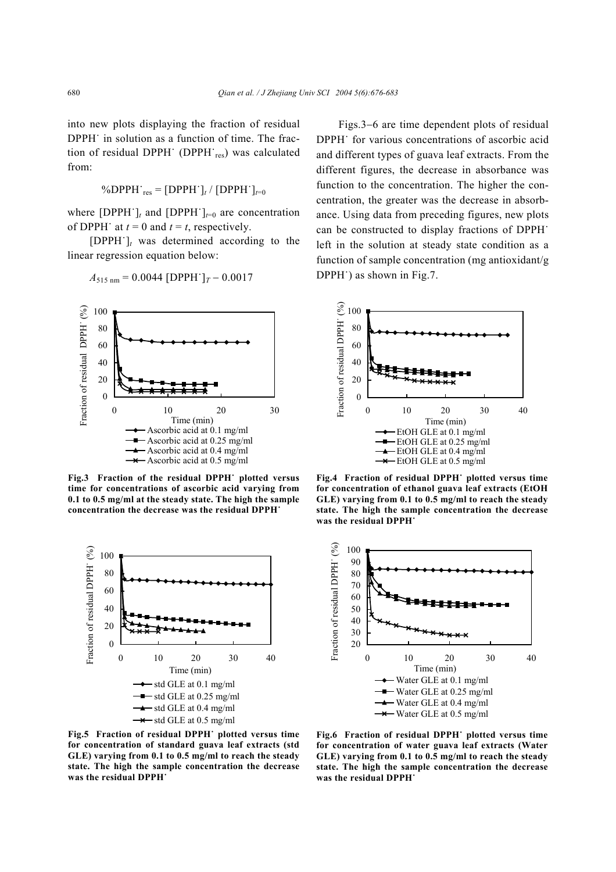into new plots displaying the fraction of residual DPPH˙ in solution as a function of time. The fraction of residual DPPH (DPPH res) was calculated from:

$$
\%DPPH_{res} = [DPPH^{\cdot}]_t / [DPPH^{\cdot}]_{t=0}
$$

where  $[DPPH^{\dagger}]_t$  and  $[DPPH^{\dagger}]_{t=0}$  are concentration of DPPH<sup> $\cdot$ </sup> at  $t = 0$  and  $t = t$ , respectively.

[DPPH˙]*t* was determined according to the linear regression equation below:

$$
A_{515 \text{ nm}} = 0.0044 \text{ [DPPH'}]_T - 0.0017
$$



**Fig.3 Fraction of the residual DPPH˙ plotted versus time for concentrations of ascorbic acid varying from 0.1 to 0.5 mg/ml at the steady state. The high the sample concentration the decrease was the residual DPPH˙**



**Fig.5 Fraction of residual DPPH˙ plotted versus time for concentration of standard guava leaf extracts (std GLE) varying from 0.1 to 0.5 mg/ml to reach the steady state. The high the sample concentration the decrease was the residual DPPH˙**

Figs.3−6 are time dependent plots of residual DPPH˙ for various concentrations of ascorbic acid and different types of guava leaf extracts. From the different figures, the decrease in absorbance was function to the concentration. The higher the concentration, the greater was the decrease in absorbance. Using data from preceding figures, new plots can be constructed to display fractions of DPPH˙ left in the solution at steady state condition as a function of sample concentration (mg antioxidant/g DPPH˙) as shown in Fig.7.



**Fig.4 Fraction of residual DPPH˙ plotted versus time for concentration of ethanol guava leaf extracts (EtOH GLE) varying from 0.1 to 0.5 mg/ml to reach the steady state. The high the sample concentration the decrease was the residual DPPH˙**



**Fig.6 Fraction of residual DPPH˙ plotted versus time for concentration of water guava leaf extracts (Water GLE) varying from 0.1 to 0.5 mg/ml to reach the steady state. The high the sample concentration the decrease was the residual DPPH˙**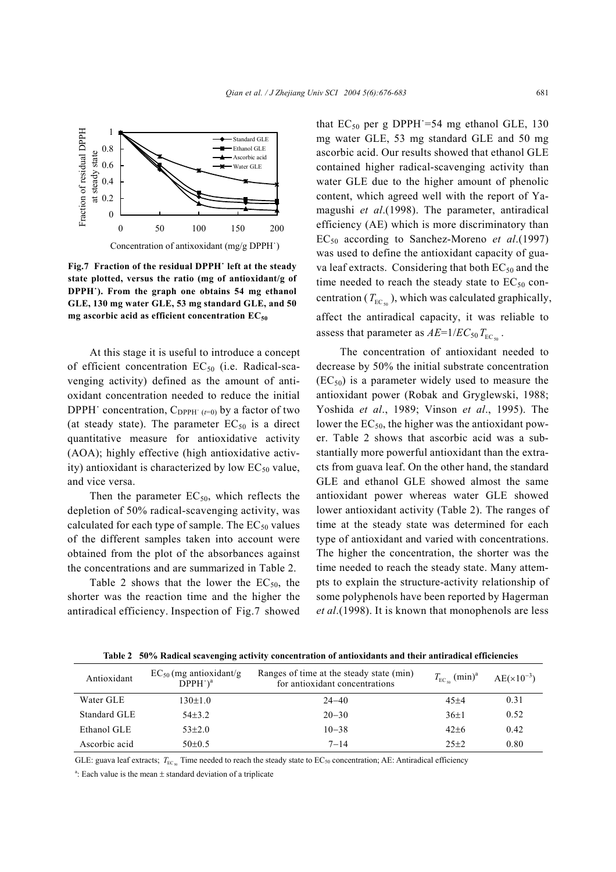

**Fig.7 Fraction of the residual DPPH˙ left at the steady state plotted, versus the ratio (mg of antioxidant/g of DPPH˙). From the graph one obtains 54 mg ethanol GLE, 130 mg water GLE, 53 mg standard GLE, and 50 mg ascorbic acid as efficient concentration EC50**

At this stage it is useful to introduce a concept of efficient concentration  $EC_{50}$  (i.e. Radical-scavenging activity) defined as the amount of antioxidant concentration needed to reduce the initial DPPH $\cdot$  concentration,  $C_{\text{DPPH}^+ (t=0)}$  by a factor of two (at steady state). The parameter  $EC_{50}$  is a direct quantitative measure for antioxidative activity (AOA); highly effective (high antioxidative activity) antioxidant is characterized by low  $EC_{50}$  value, and vice versa.

Then the parameter  $EC_{50}$ , which reflects the depletion of 50% radical-scavenging activity, was calculated for each type of sample. The  $EC_{50}$  values of the different samples taken into account were obtained from the plot of the absorbances against the concentrations and are summarized in Table 2.

Table 2 shows that the lower the  $EC_{50}$ , the shorter was the reaction time and the higher the antiradical efficiency. Inspection of Fig.7 showed that  $EC_{50}$  per g DPPH = 54 mg ethanol GLE, 130 mg water GLE, 53 mg standard GLE and 50 mg ascorbic acid. Our results showed that ethanol GLE contained higher radical-scavenging activity than water GLE due to the higher amount of phenolic content, which agreed well with the report of Yamagushi *et al*.(1998). The parameter, antiradical efficiency (AE) which is more discriminatory than EC50 according to Sanchez-Moreno *et al*.(1997) was used to define the antioxidant capacity of guava leaf extracts. Considering that both  $EC_{50}$  and the time needed to reach the steady state to  $EC_{50}$  concentration ( $T_{\text{EC}_{50}}$ ), which was calculated graphically, affect the antiradical capacity, it was reliable to assess that parameter as  $AE=1/EC_{50}T_{EC_5}$ .

The concentration of antioxidant needed to decrease by 50% the initial substrate concentration  $(EC_{50})$  is a parameter widely used to measure the antioxidant power (Robak and Gryglewski, 1988; Yoshida *et al*., 1989; Vinson *et al*., 1995). The lower the  $EC_{50}$ , the higher was the antioxidant power. Table 2 shows that ascorbic acid was a substantially more powerful antioxidant than the extracts from guava leaf. On the other hand, the standard GLE and ethanol GLE showed almost the same antioxidant power whereas water GLE showed lower antioxidant activity (Table 2). The ranges of time at the steady state was determined for each type of antioxidant and varied with concentrations. The higher the concentration, the shorter was the time needed to reach the steady state. Many attempts to explain the structure-activity relationship of some polyphenols have been reported by Hagerman *et al*.(1998). It is known that monophenols are less

| Antioxidant   | $EC_{50}$ (mg antioxidant/g)<br>$DPPH^{\cdot})^a$ | Ranges of time at the steady state (min)<br>for antioxidant concentrations | $T_{\text{EC}_{50}}$ (min) <sup>a</sup> | $AE(x10^{-3})$ |
|---------------|---------------------------------------------------|----------------------------------------------------------------------------|-----------------------------------------|----------------|
| Water GLE     | $130 \pm 1.0$                                     | $24 - 40$                                                                  | $45 + 4$                                | 0.31           |
| Standard GLE  | $54+3.2$                                          | $20 - 30$                                                                  | $36 \pm 1$                              | 0.52           |
| Ethanol GLE   | $53+2.0$                                          | $10 - 38$                                                                  | $42+6$                                  | 0.42           |
| Ascorbic acid | $50\pm0.5$                                        | $7 - 14$                                                                   | $25+2$                                  | 0.80           |

**Table 2 50% Radical scavenging activity concentration of antioxidants and their antiradical efficiencies**

GLE: guava leaf extracts;  $T_{\text{EC}_{50}}$  Time needed to reach the steady state to EC<sub>50</sub> concentration; AE: Antiradical efficiency

<sup>a</sup>: Each value is the mean  $\pm$  standard deviation of a triplicate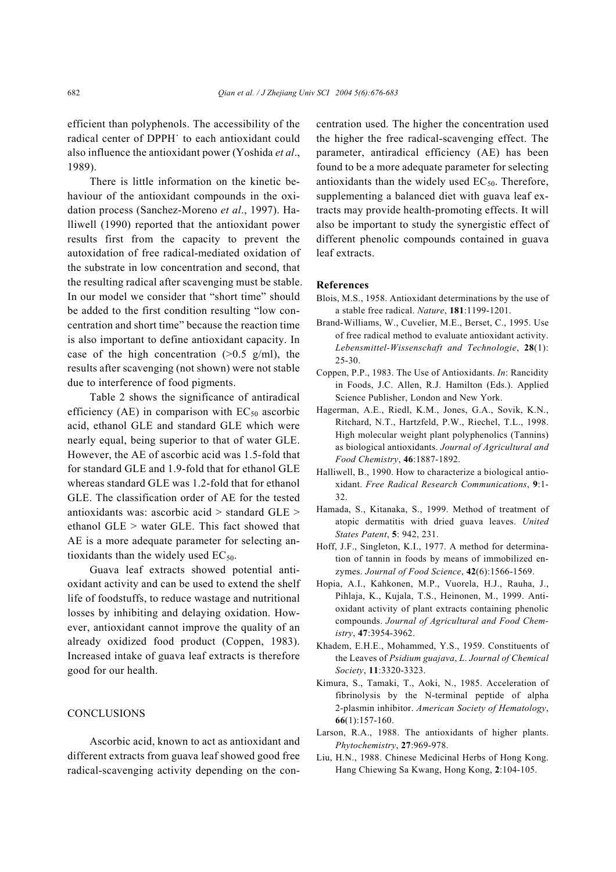efficient than polyphenols. The accessibility of the radical center of DPPH˙ to each antioxidant could also influence the antioxidant power (Yoshida *et al*., 1989).

There is little information on the kinetic behaviour of the antioxidant compounds in the oxidation process (Sanchez-Moreno *et al*., 1997). Halliwell (1990) reported that the antioxidant power results first from the capacity to prevent the autoxidation of free radical-mediated oxidation of the substrate in low concentration and second, that the resulting radical after scavenging must be stable. In our model we consider that "short time" should be added to the first condition resulting "low concentration and short time" because the reaction time is also important to define antioxidant capacity. In case of the high concentration  $(>0.5 \text{ g/ml})$ , the results after scavenging (not shown) were not stable due to interference of food pigments.

Table 2 shows the significance of antiradical efficiency (AE) in comparison with  $EC_{50}$  ascorbic acid, ethanol GLE and standard GLE which were nearly equal, being superior to that of water GLE. However, the AE of ascorbic acid was 1.5-fold that for standard GLE and 1.9-fold that for ethanol GLE whereas standard GLE was 1.2-fold that for ethanol GLE. The classification order of AE for the tested antioxidants was: ascorbic acid > standard GLE > ethanol GLE > water GLE. This fact showed that AE is a more adequate parameter for selecting antioxidants than the widely used  $EC_{50}$ .

Guava leaf extracts showed potential antioxidant activity and can be used to extend the shelf life of foodstuffs, to reduce wastage and nutritional losses by inhibiting and delaying oxidation. However, antioxidant cannot improve the quality of an already oxidized food product (Coppen, 1983). Increased intake of guava leaf extracts is therefore good for our health.

# **CONCLUSIONS**

Ascorbic acid, known to act as antioxidant and different extracts from guava leaf showed good free radical-scavenging activity depending on the concentration used. The higher the concentration used the higher the free radical-scavenging effect. The parameter, antiradical efficiency (AE) has been found to be a more adequate parameter for selecting antioxidants than the widely used  $EC_{50}$ . Therefore, supplementing a balanced diet with guava leaf extracts may provide health-promoting effects. It will also be important to study the synergistic effect of different phenolic compounds contained in guava leaf extracts.

#### **References**

- Blois, M.S., 1958. Antioxidant determinations by the use of a stable free radical. *Nature*, **181**:1199-1201.
- Brand-Williams, W., Cuvelier, M.E., Berset, C., 1995. Use of free radical method to evaluate antioxidant activity. *Lebensmittel-Wissenschaft and Technologie*, **28**(1): 25-30.
- Coppen, P.P., 1983. The Use of Antioxidants. *In*: Rancidity in Foods, J.C. Allen, R.J. Hamilton (Eds.). Applied Science Publisher, London and New York.
- Hagerman, A.E., Riedl, K.M., Jones, G.A., Sovik, K.N., Ritchard, N.T., Hartzfeld, P.W., Riechel, T.L., 1998. High molecular weight plant polyphenolics (Tannins) as biological antioxidants. *Journal of Agricultural and Food Chemistry*, **46**:1887-1892.
- Halliwell, B., 1990. How to characterize a biological antioxidant. *Free Radical Research Communications*, **9**:1- 32.
- Hamada, S., Kitanaka, S., 1999. Method of treatment of atopic dermatitis with dried guava leaves. *United States Patent*, **5**: 942, 231.
- Hoff, J.F., Singleton, K.I., 1977. A method for determination of tannin in foods by means of immobilized enzymes. *Journal of Food Science*, **42**(6):1566-1569.
- Hopia, A.I., Kahkonen, M.P., Vuorela, H.J., Rauha, J., Pihlaja, K., Kujala, T.S., Heinonen, M., 1999. Antioxidant activity of plant extracts containing phenolic compounds. *Journal of Agricultural and Food Chemistry*, **47**:3954-3962.
- Khadem, E.H.E., Mohammed, Y.S., 1959. Constituents of the Leaves of *Psidium guajava*, *L*. *Journal of Chemical Society*, **11**:3320-3323.
- Kimura, S., Tamaki, T., Aoki, N., 1985. Acceleration of fibrinolysis by the N-terminal peptide of alpha 2-plasmin inhibitor. *American Society of Hematology*, **66**(1):157-160.
- Larson, R.A., 1988. The antioxidants of higher plants. *Phytochemistry*, **27**:969-978.
- Liu, H.N., 1988. Chinese Medicinal Herbs of Hong Kong. Hang Chiewing Sa Kwang, Hong Kong, **2**:104-105.